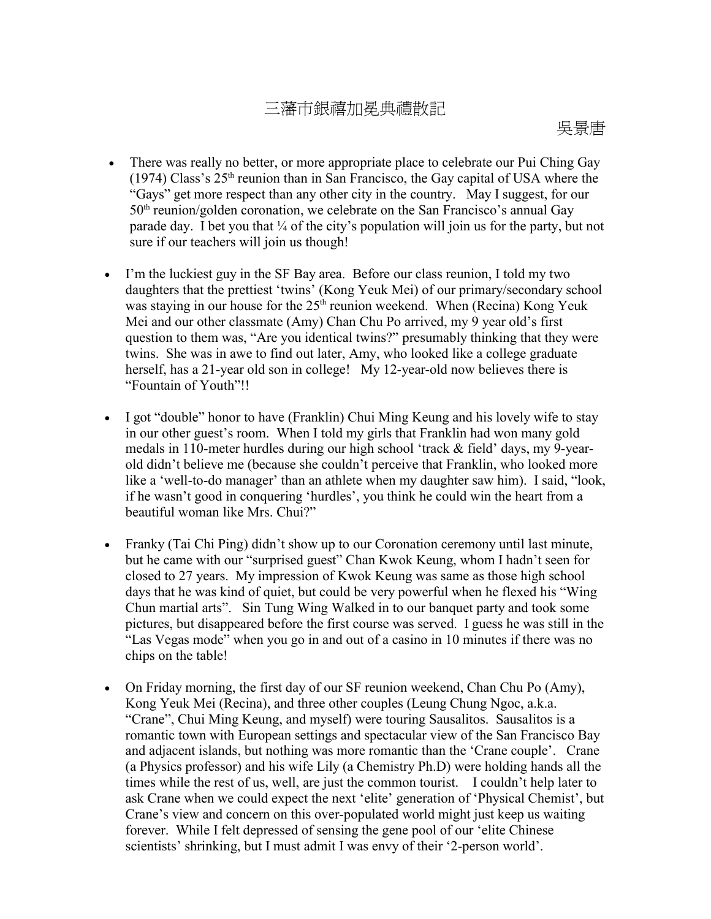## 三藩市銀禧加冕典禮散記

- There was really no better, or more appropriate place to celebrate our Pui Ching Gay (1974) Class's  $25<sup>th</sup>$  reunion than in San Francisco, the Gay capital of USA where the "Gays" get more respect than any other city in the country. May I suggest, for our 50<sup>th</sup> reunion/golden coronation, we celebrate on the San Francisco's annual Gay parade day. I bet you that  $\frac{1}{4}$  of the city's population will join us for the party, but not sure if our teachers will join us though!
- I'm the luckiest guy in the SF Bay area. Before our class reunion, I told my two daughters that the prettiest 'twins' (Kong Yeuk Mei) of our primary/secondary school was staying in our house for the 25<sup>th</sup> reunion weekend. When (Recina) Kong Yeuk Mei and our other classmate (Amy) Chan Chu Po arrived, my 9 year old's first question to them was, "Are you identical twins?" presumably thinking that they were twins. She was in awe to find out later, Amy, who looked like a college graduate herself, has a 21-year old son in college! My 12-year-old now believes there is "Fountain of Youth"!!
- I got "double" honor to have (Franklin) Chui Ming Keung and his lovely wife to stay in our other guest's room. When I told my girls that Franklin had won many gold medals in 110-meter hurdles during our high school 'track & field' days, my 9-yearold didn't believe me (because she couldn't perceive that Franklin, who looked more like a 'well-to-do manager' than an athlete when my daughter saw him). I said, "look, if he wasn't good in conquering 'hurdles', you think he could win the heart from a beautiful woman like Mrs. Chui?"
- Franky (Tai Chi Ping) didn't show up to our Coronation ceremony until last minute, but he came with our "surprised guest" Chan Kwok Keung, whom I hadn't seen for closed to 27 years. My impression of Kwok Keung was same as those high school days that he was kind of quiet, but could be very powerful when he flexed his "Wing Chun martial arts". Sin Tung Wing Walked in to our banquet party and took some pictures, but disappeared before the first course was served. I guess he was still in the "Las Vegas mode" when you go in and out of a casino in 10 minutes if there was no chips on the table!
- On Friday morning, the first day of our SF reunion weekend, Chan Chu Po (Amy), Kong Yeuk Mei (Recina), and three other couples (Leung Chung Ngoc, a.k.a. "Crane", Chui Ming Keung, and myself) were touring Sausalitos. Sausalitos is a romantic town with European settings and spectacular view of the San Francisco Bay and adjacent islands, but nothing was more romantic than the 'Crane couple'. Crane (a Physics professor) and his wife Lily (a Chemistry Ph.D) were holding hands all the times while the rest of us, well, are just the common tourist. I couldn't help later to ask Crane when we could expect the next 'elite' generation of 'Physical Chemist', but Crane's view and concern on this over-populated world might just keep us waiting forever. While I felt depressed of sensing the gene pool of our 'elite Chinese scientists' shrinking, but I must admit I was envy of their '2-person world'.